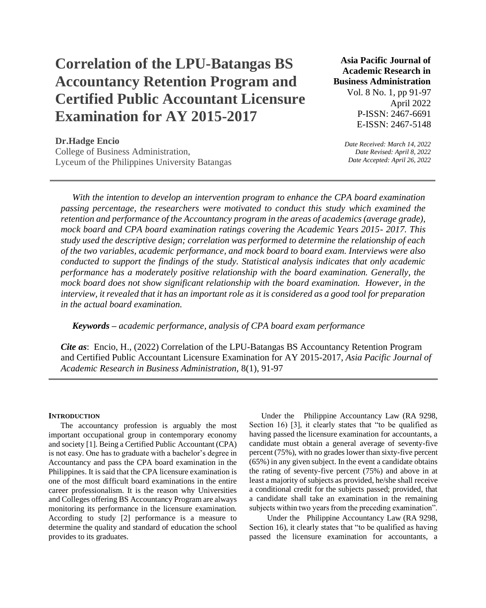# **Correlation of the LPU-Batangas BS Accountancy Retention Program and Certified Public Accountant Licensure Examination for AY 2015-2017**

## **Asia Pacific Journal of Academic Research in Business Administration**

Vol. 8 No. 1, pp 91-97 April 2022 P-ISSN: 2467-6691 E-ISSN: 2467-5148

### **Dr.Hadge Encio**

College of Business Administration, Lyceum of the Philippines University Batangas *Date Received: March 14, 2022 Date Revised: April 8, 2022 Date Accepted: April 26, 2022*

*With the intention to develop an intervention program to enhance the CPA board examination passing percentage, the researchers were motivated to conduct this study which examined the retention and performance of the Accountancy program in the areas of academics (average grade), mock board and CPA board examination ratings covering the Academic Years 2015- 2017. This study used the descriptive design; correlation was performed to determine the relationship of each of the two variables, academic performance, and mock board to board exam. Interviews were also conducted to support the findings of the study. Statistical analysis indicates that only academic performance has a moderately positive relationship with the board examination. Generally, the mock board does not show significant relationship with the board examination. However, in the interview, it revealed that it has an important role as it is considered as a good tool for preparation in the actual board examination.*

*Keywords – academic performance, analysis of CPA board exam performance*

*Cite as*: Encio, H., (2022) Correlation of the LPU-Batangas BS Accountancy Retention Program and Certified Public Accountant Licensure Examination for AY 2015-2017, *Asia Pacific Journal of Academic Research in Business Administration,* 8(1), 91-97

#### **INTRODUCTION**

The accountancy profession is arguably the most important occupational group in contemporary economy and society [1]. Being a Certified Public Accountant (CPA) is not easy. One has to graduate with a bachelor's degree in Accountancy and pass the CPA board examination in the Philippines. It is said that the CPA licensure examination is one of the most difficult board examinations in the entire career professionalism. It is the reason why Universities and Colleges offering BS Accountancy Program are always monitoring its performance in the licensure examination. According to study [2] performance is a measure to determine the quality and standard of education the school provides to its graduates.

Under the Philippine Accountancy Law (RA 9298, Section 16) [3], it clearly states that "to be qualified as having passed the licensure examination for accountants, a candidate must obtain a general average of seventy-five percent (75%), with no grades lower than sixty-five percent (65%) in any given subject. In the event a candidate obtains the rating of seventy-five percent (75%) and above in at least a majority of subjects as provided, he/she shall receive a conditional credit for the subjects passed; provided, that a candidate shall take an examination in the remaining subjects within two years from the preceding examination".

Under the Philippine Accountancy Law (RA 9298, Section 16), it clearly states that "to be qualified as having passed the licensure examination for accountants, a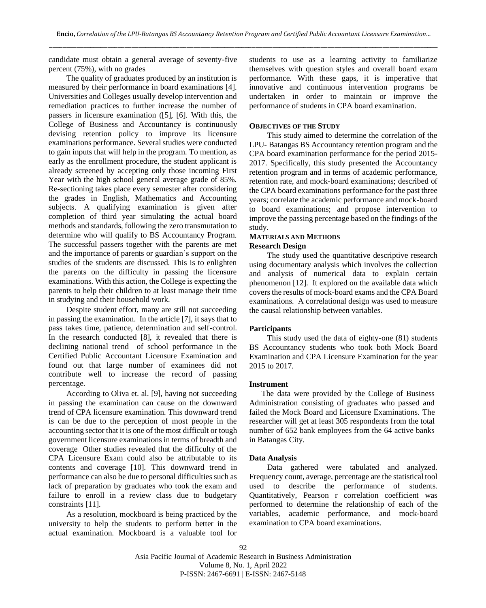candidate must obtain a general average of seventy-five percent (75%), with no grades

The quality of graduates produced by an institution is measured by their performance in board examinations [4]. Universities and Colleges usually develop intervention and remediation practices to further increase the number of passers in licensure examination ([5], [6]. With this, the College of Business and Accountancy is continuously devising retention policy to improve its licensure examinations performance. Several studies were conducted to gain inputs that will help in the program. To mention, as early as the enrollment procedure, the student applicant is already screened by accepting only those incoming First Year with the high school general average grade of 85%. Re-sectioning takes place every semester after considering the grades in English, Mathematics and Accounting subjects. A qualifying examination is given after completion of third year simulating the actual board methods and standards, following the zero transmutation to determine who will qualify to BS Accountancy Program. The successful passers together with the parents are met and the importance of parents or guardian's support on the studies of the students are discussed. This is to enlighten the parents on the difficulty in passing the licensure examinations. With this action, the College is expecting the parents to help their children to at least manage their time in studying and their household work.

Despite student effort, many are still not succeeding in passing the examination. In the article [7], it says that to pass takes time, patience, determination and self-control. In the research conducted [8], it revealed that there is declining national trend of school performance in the Certified Public Accountant Licensure Examination and found out that large number of examinees did not contribute well to increase the record of passing percentage.

According to Oliva et. al. [9], having not succeeding in passing the examination can cause on the downward trend of CPA licensure examination. This downward trend is can be due to the perception of most people in the accounting sector that it is one of the most difficult or tough government licensure examinations in terms of breadth and coverage Other studies revealed that the difficulty of the CPA Licensure Exam could also be attributable to its contents and coverage [10]. This downward trend in performance can also be due to personal difficulties such as lack of preparation by graduates who took the exam and failure to enroll in a review class due to budgetary constraints [11].

As a resolution, mockboard is being practiced by the university to help the students to perform better in the actual examination. Mockboard is a valuable tool for students to use as a learning activity to familiarize themselves with question styles and overall board exam performance. With these gaps, it is imperative that innovative and continuous intervention programs be undertaken in order to maintain or improve the performance of students in CPA board examination.

#### **OBJECTIVES OF THE STUDY**

This study aimed to determine the correlation of the LPU- Batangas BS Accountancy retention program and the CPA board examination performance for the period 2015- 2017. Specifically, this study presented the Accountancy retention program and in terms of academic performance, retention rate, and mock-board examinations; described of the CPA board examinations performance for the past three years; correlate the academic performance and mock-board to board examinations; and propose intervention to improve the passing percentage based on the findings of the study.

#### **MATERIALS AND METHODS Research Design**

The study used the quantitative descriptive research using documentary analysis which involves the collection and analysis of numerical data to explain certain phenomenon [12]. It explored on the available data which covers the results of mock-board exams and the CPA Board examinations. A correlational design was used to measure the causal relationship between variables.

#### **Participants**

This study used the data of eighty-one (81) students BS Accountancy students who took both Mock Board Examination and CPA Licensure Examination for the year 2015 to 2017.

#### **Instrument**

The data were provided by the College of Business Administration consisting of graduates who passed and failed the Mock Board and Licensure Examinations. The researcher will get at least 305 respondents from the total number of 652 bank employees from the 64 active banks in Batangas City.

#### **Data Analysis**

Data gathered were tabulated and analyzed. Frequency count, average, percentage are the statistical tool used to describe the performance of students. Quantitatively, Pearson r correlation coefficient was performed to determine the relationship of each of the variables, academic performance, and mock-board examination to CPA board examinations.

Asia Pacific Journal of Academic Research in Business Administration Volume 8, No. 1, April 2022 P-ISSN: 2467-6691 | E-ISSN: 2467-5148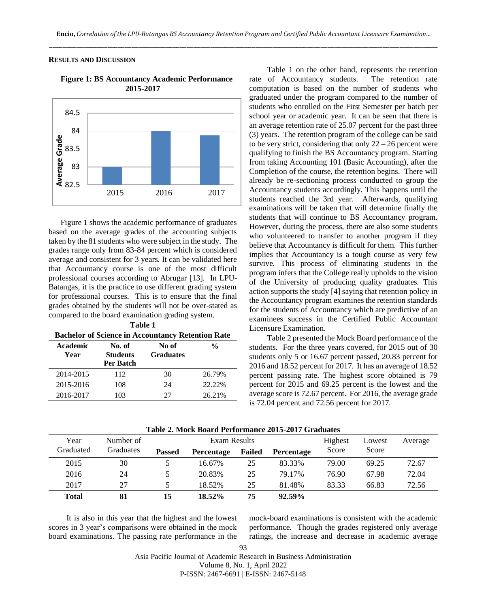#### **RESULTS AND DISCUSSION**



**Figure 1: BS Accountancy Academic Performance 2015-2017**

Figure 1 shows the academic performance of graduates based on the average grades of the accounting subjects taken by the 81 students who were subject in the study. The grades range only from 83-84 percent which is considered average and consistent for 3 years. It can be validated here that Accountancy course is one of the most difficult professional courses according to Abrugar [13]. In LPU-Batangas, it is the practice to use different grading system for professional courses. This is to ensure that the final grades obtained by the students will not be over-stated as compared to the board examination grading system.

| Table 1<br><b>Bachelor of Science in Accountancy Retention Rate</b> |                                        |                           |               |  |  |  |
|---------------------------------------------------------------------|----------------------------------------|---------------------------|---------------|--|--|--|
| Academic<br>Year                                                    | No. of<br><b>Students</b><br>Per Batch | No of<br><b>Graduates</b> | $\frac{0}{n}$ |  |  |  |
| 2014-2015                                                           | 112                                    | 30                        | 26.79%        |  |  |  |
| 2015-2016                                                           | 108                                    | 24                        | 22.22%        |  |  |  |
| 2016-2017                                                           | 103                                    | 27                        | 26.21%        |  |  |  |

Table 1 on the other hand, represents the retention rate of Accountancy students. The retention rate computation is based on the number of students who graduated under the program compared to the number of students who enrolled on the First Semester per batch per school year or academic year. It can be seen that there is an average retention rate of 25.07 percent for the past three (3) years. The retention program of the college can be said to be very strict, considering that only  $22 - 26$  percent were qualifying to finish the BS Accountancy program. Starting from taking Accounting 101 (Basic Accounting), after the Completion of the course, the retention begins. There will already be re-sectioning process conducted to group the Accountancy students accordingly. This happens until the students reached the 3rd year. Afterwards, qualifying examinations will be taken that will determine finally the students that will continue to BS Accountancy program. However, during the process, there are also some students who volunteered to transfer to another program if they believe that Accountancy is difficult for them. This further implies that Accountancy is a tough course as very few survive. This process of eliminating students in the program infers that the College really upholds to the vision of the University of producing quality graduates. This action supports the study [4] saying that retention policy in the Accountancy program examines the retention standards for the students of Accountancy which are predictive of an examinees success in the Certified Public Accountant Licensure Examination.

Table 2 presented the Mock Board performance of the students. For the three years covered, for 2015 out of 30 students only 5 or 16.67 percent passed, 20.83 percent for 2016 and 18.52 percent for 2017. It has an average of 18.52 percent passing rate. The highest score obtained is 79 percent for 2015 and 69.25 percent is the lowest and the average score is 72.67 percent. For 2016, the average grade is 72.04 percent and 72.56 percent for 2017.

| Year         | Number of | Exam Results  |                   |        | Highest    | Lowest | Average |       |
|--------------|-----------|---------------|-------------------|--------|------------|--------|---------|-------|
| Graduated    | Graduates | <b>Passed</b> | <b>Percentage</b> | Failed | Percentage | Score  | Score   |       |
| 2015         | 30        |               | 16.67%            | 25     | 83.33%     | 79.00  | 69.25   | 72.67 |
| 2016         | 24        |               | 20.83%            | 25     | 79.17%     | 76.90  | 67.98   | 72.04 |
| 2017         | 27        |               | 18.52%            | 25     | 81.48%     | 83.33  | 66.83   | 72.56 |
| <b>Total</b> | 81        | 15            | 18.52%            | 75     | 92.59%     |        |         |       |

**Table 2. Mock Board Performance 2015-2017 Graduates**

It is also in this year that the highest and the lowest scores in 3 year's comparisons were obtained in the mock board examinations. The passing rate performance in the

mock-board examinations is consistent with the academic performance. Though the grades registered only average ratings, the increase and decrease in academic average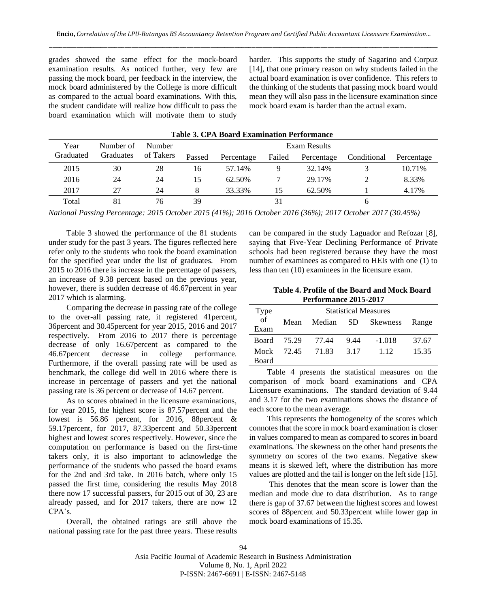grades showed the same effect for the mock-board examination results. As noticed further, very few are passing the mock board, per feedback in the interview, the mock board administered by the College is more difficult as compared to the actual board examinations. With this, the student candidate will realize how difficult to pass the board examination which will motivate them to study harder. This supports the study of Sagarino and Corpuz [14], that one primary reason on why students failed in the actual board examination is over confidence. This refers to the thinking of the students that passing mock board would mean they will also pass in the licensure examination since mock board exam is harder than the actual exam.

| Table 5. CTA Doard Examination Ferrormance |           |           |              |            |        |            |             |            |
|--------------------------------------------|-----------|-----------|--------------|------------|--------|------------|-------------|------------|
| Year                                       | Number of | Number    | Exam Results |            |        |            |             |            |
| Graduated                                  | Graduates | of Takers | Passed       | Percentage | Failed | Percentage | Conditional | Percentage |
| 2015                                       | 30        | 28        | 16           | 57.14%     | q      | 32.14%     |             | 10.71%     |
| 2016                                       | 24        | 24        | 15           | 62.50%     |        | 29.17%     |             | 8.33%      |
| 2017                                       | 27        | 24        | 8            | 33.33%     | 15     | 62.50%     |             | 4.17%      |
| Total                                      | 81        | 76        | 39           |            | 31     |            |             |            |

**Table 3. CPA Board Examination Performance**

*National Passing Percentage: 2015 October 2015 (41%); 2016 October 2016 (36%); 2017 October 2017 (30.45%)*

Table 3 showed the performance of the 81 students under study for the past 3 years. The figures reflected here refer only to the students who took the board examination for the specified year under the list of graduates. From 2015 to 2016 there is increase in the percentage of passers, an increase of 9.38 percent based on the previous year, however, there is sudden decrease of 46.67percent in year 2017 which is alarming.

Comparing the decrease in passing rate of the college to the over-all passing rate, it registered 41percent, 36percent and 30.45percent for year 2015, 2016 and 2017 respectively. From 2016 to 2017 there is percentage decrease of only 16.67percent as compared to the 46.67percent decrease in college performance. Furthermore, if the overall passing rate will be used as benchmark, the college did well in 2016 where there is increase in percentage of passers and yet the national passing rate is 36 percent or decrease of 14.67 percent.

As to scores obtained in the licensure examinations, for year 2015, the highest score is 87.57percent and the lowest is 56.86 percent, for 2016, 88percent & 59.17percent, for 2017, 87.33percent and 50.33percent highest and lowest scores respectively. However, since the computation on performance is based on the first-time takers only, it is also important to acknowledge the performance of the students who passed the board exams for the 2nd and 3rd take. In 2016 batch, where only 15 passed the first time, considering the results May 2018 there now 17 successful passers, for 2015 out of 30, 23 are already passed, and for 2017 takers, there are now 12 CPA's.

Overall, the obtained ratings are still above the national passing rate for the past three years. These results can be compared in the study Laguador and Refozar [8], saying that Five-Year Declining Performance of Private schools had been registered because they have the most number of examinees as compared to HEIs with one (1) to less than ten (10) examinees in the licensure exam.

**Table 4. Profile of the Board and Mock Board Performance 2015-2017**

| Type         | <b>Statistical Measures</b> |        |      |                 |       |  |
|--------------|-----------------------------|--------|------|-----------------|-------|--|
| of           | Mean                        | Median | SD.  | <b>Skewness</b> | Range |  |
| Exam         |                             |        |      |                 |       |  |
| Board        | 75.29                       | 77.44  | 9.44 | $-1.018$        | 37.67 |  |
| Mock         | 72.45                       | 71.83  | 3.17 | 1 1 2           | 15.35 |  |
| <b>Board</b> |                             |        |      |                 |       |  |

Table 4 presents the statistical measures on the comparison of mock board examinations and CPA Licensure examinations. The standard deviation of 9.44 and 3.17 for the two examinations shows the distance of each score to the mean average.

This represents the homogeneity of the scores which connotes that the score in mock board examination is closer in values compared to mean as compared to scores in board examinations. The skewness on the other hand presents the symmetry on scores of the two exams. Negative skew means it is skewed left, where the distribution has more values are plotted and the tail is longer on the left side [15].

This denotes that the mean score is lower than the median and mode due to data distribution. As to range there is gap of 37.67 between the highest scores and lowest scores of 88percent and 50.33percent while lower gap in mock board examinations of 15.35.

Asia Pacific Journal of Academic Research in Business Administration Volume 8, No. 1, April 2022 P-ISSN: 2467-6691 | E-ISSN: 2467-5148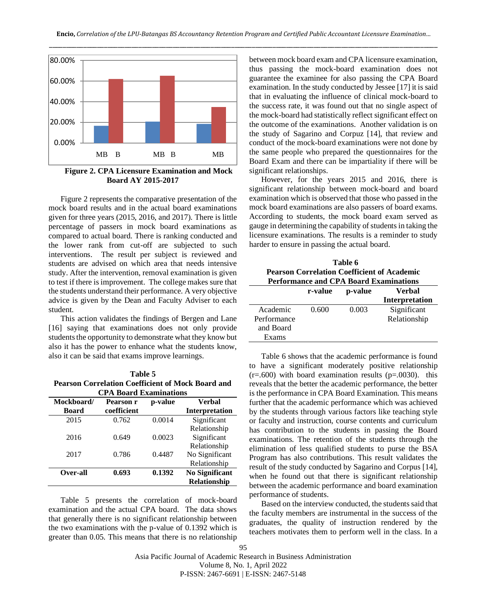

**Figure 2. CPA Licensure Examination and Mock Board AY 2015-2017**

Figure 2 represents the comparative presentation of the mock board results and in the actual board examinations given for three years (2015, 2016, and 2017). There is little percentage of passers in mock board examinations as compared to actual board. There is ranking conducted and the lower rank from cut-off are subjected to such interventions. The result per subject is reviewed and students are advised on which area that needs intensive study. After the intervention, removal examination is given to test if there is improvement. The college makes sure that the students understand their performance. A very objective advice is given by the Dean and Faculty Adviser to each student.

This action validates the findings of Bergen and Lane [16] saying that examinations does not only provide students the opportunity to demonstrate what they know but also it has the power to enhance what the students know, also it can be said that exams improve learnings.

**Table 5 Pearson Correlation Coefficient of Mock Board and CPA Board Examinations**

| UFA DOAFU EXAIIIIIIAUOIIS |             |         |                       |  |  |
|---------------------------|-------------|---------|-----------------------|--|--|
| Mockboard/                | Pearson r   | p-value | Verbal                |  |  |
| Board                     | coefficient |         | <b>Interpretation</b> |  |  |
| 2015                      | 0.762       | 0.0014  | Significant           |  |  |
|                           |             |         | Relationship          |  |  |
| 2016                      | 0.649       | 0.0023  | Significant           |  |  |
|                           |             |         | Relationship          |  |  |
| 2017                      | 0.786       | 0.4487  | No Significant        |  |  |
|                           |             |         | Relationship          |  |  |
| Over-all                  | 0.693       | 0.1392  | <b>No Significant</b> |  |  |
|                           |             |         | <b>Relationship</b>   |  |  |

Table 5 presents the correlation of mock-board examination and the actual CPA board. The data shows that generally there is no significant relationship between the two examinations with the p-value of 0.1392 which is greater than 0.05. This means that there is no relationship between mock board exam and CPA licensure examination, thus passing the mock-board examination does not guarantee the examinee for also passing the CPA Board examination. In the study conducted by Jessee [17] it is said that in evaluating the influence of clinical mock-board to the success rate, it was found out that no single aspect of the mock-board had statistically reflect significant effect on the outcome of the examinations. Another validation is on the study of Sagarino and Corpuz [14], that review and conduct of the mock-board examinations were not done by the same people who prepared the questionnaires for the Board Exam and there can be impartiality if there will be significant relationships.

However, for the years 2015 and 2016, there is significant relationship between mock-board and board examination which is observed that those who passed in the mock board examinations are also passers of board exams. According to students, the mock board exam served as gauge in determining the capability of students in taking the licensure examinations. The results is a reminder to study harder to ensure in passing the actual board.

| Table 6                                            |  |  |  |  |
|----------------------------------------------------|--|--|--|--|
| <b>Pearson Correlation Coefficient of Academic</b> |  |  |  |  |
| <b>Performance and CPA Board Examinations</b>      |  |  |  |  |

|             | r-value | p-value | Verbal         |
|-------------|---------|---------|----------------|
|             |         |         | Interpretation |
| Academic    | 0.600   | 0.003   | Significant    |
| Performance |         |         | Relationship   |
| and Board   |         |         |                |
| Exams       |         |         |                |

Table 6 shows that the academic performance is found to have a significant moderately positive relationship  $(r=.600)$  with board examination results  $(p=.0030)$ . this reveals that the better the academic performance, the better is the performance in CPA Board Examination. This means further that the academic performance which was achieved by the students through various factors like teaching style or faculty and instruction, course contents and curriculum has contribution to the students in passing the Board examinations. The retention of the students through the elimination of less qualified students to purse the BSA Program has also contributions. This result validates the result of the study conducted by Sagarino and Corpus [14], when he found out that there is significant relationship between the academic performance and board examination performance of students.

Based on the interview conducted, the students said that the faculty members are instrumental in the success of the graduates, the quality of instruction rendered by the teachers motivates them to perform well in the class. In a

Asia Pacific Journal of Academic Research in Business Administration Volume 8, No. 1, April 2022 P-ISSN: 2467-6691 | E-ISSN: 2467-5148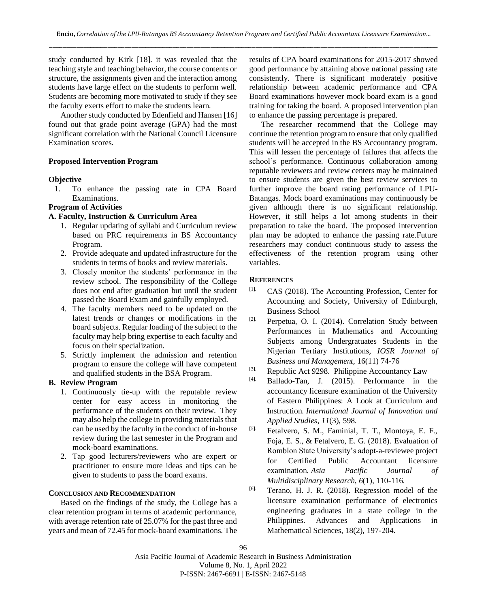study conducted by Kirk [18]. it was revealed that the teaching style and teaching behavior, the course contents or structure, the assignments given and the interaction among students have large effect on the students to perform well. Students are becoming more motivated to study if they see the faculty exerts effort to make the students learn.

Another study conducted by Edenfield and Hansen [16] found out that grade point average (GPA) had the most significant correlation with the National Council Licensure Examination scores.

#### **Proposed Intervention Program**

#### **Objective**

1. To enhance the passing rate in CPA Board Examinations.

#### **Program of Activities**

#### **A. Faculty, Instruction & Curriculum Area**

- 1. Regular updating of syllabi and Curriculum review based on PRC requirements in BS Accountancy Program.
- 2. Provide adequate and updated infrastructure for the students in terms of books and review materials.
- 3. Closely monitor the students' performance in the review school. The responsibility of the College does not end after graduation but until the student passed the Board Exam and gainfully employed.
- 4. The faculty members need to be updated on the latest trends or changes or modifications in the board subjects. Regular loading of the subject to the faculty may help bring expertise to each faculty and focus on their specialization.
- 5. Strictly implement the admission and retention program to ensure the college will have competent and qualified students in the BSA Program.

#### **B. Review Program**

- 1. Continuously tie-up with the reputable review center for easy access in monitoring the performance of the students on their review. They may also help the college in providing materials that can be used by the faculty in the conduct of in-house review during the last semester in the Program and mock-board examinations.
- 2. Tap good lecturers/reviewers who are expert or practitioner to ensure more ideas and tips can be given to students to pass the board exams.

#### **CONCLUSION AND RECOMMENDATION**

Based on the findings of the study, the College has a clear retention program in terms of academic performance, with average retention rate of 25.07% for the past three and years and mean of 72.45 for mock-board examinations. The results of CPA board examinations for 2015-2017 showed good performance by attaining above national passing rate consistently. There is significant moderately positive relationship between academic performance and CPA Board examinations however mock board exam is a good training for taking the board. A proposed intervention plan to enhance the passing percentage is prepared.

The researcher recommend that the College may continue the retention program to ensure that only qualified students will be accepted in the BS Accountancy program. This will lessen the percentage of failures that affects the school's performance. Continuous collaboration among reputable reviewers and review centers may be maintained to ensure students are given the best review services to further improve the board rating performance of LPU-Batangas. Mock board examinations may continuously be given although there is no significant relationship. However, it still helps a lot among students in their preparation to take the board. The proposed intervention plan may be adopted to enhance the passing rate.Future researchers may conduct continuous study to assess the effectiveness of the retention program using other variables.

#### **REFERENCES**

- [1]. CAS (2018). The Accounting Profession, Center for Accounting and Society, University of Edinburgh, Business School
- [2]. Perpetua, O. I. (2014). Correlation Study between Performances in Mathematics and Accounting Subjects among Undergratuates Students in the Nigerian Tertiary Institutions, *IOSR Journal of Business and Management,* 16(11) 74-76
- [3]. Republic Act 9298. Philippine Accountancy Law
- [4]. Ballado-Tan, J. (2015). Performance in the accountancy licensure examination of the University of Eastern Philippines: A Look at Curriculum and Instruction. *International Journal of Innovation and Applied Studies*, *11*(3), 598.
- [5]. Fetalvero, S. M., Faminial, T. T., Montoya, E. F., Foja, E. S., & Fetalvero, E. G. (2018). Evaluation of Romblon State University's adopt-a-reviewee project for Certified Public Accountant licensure examination. *Asia Pacific Journal of Multidisciplinary Research*, *6*(1), 110-116.
- [6]. Terano, H. J. R. (2018). Regression model of the licensure examination performance of electronics engineering graduates in a state college in the Philippines. Advances and Applications in Mathematical Sciences, 18(2), 197-204.